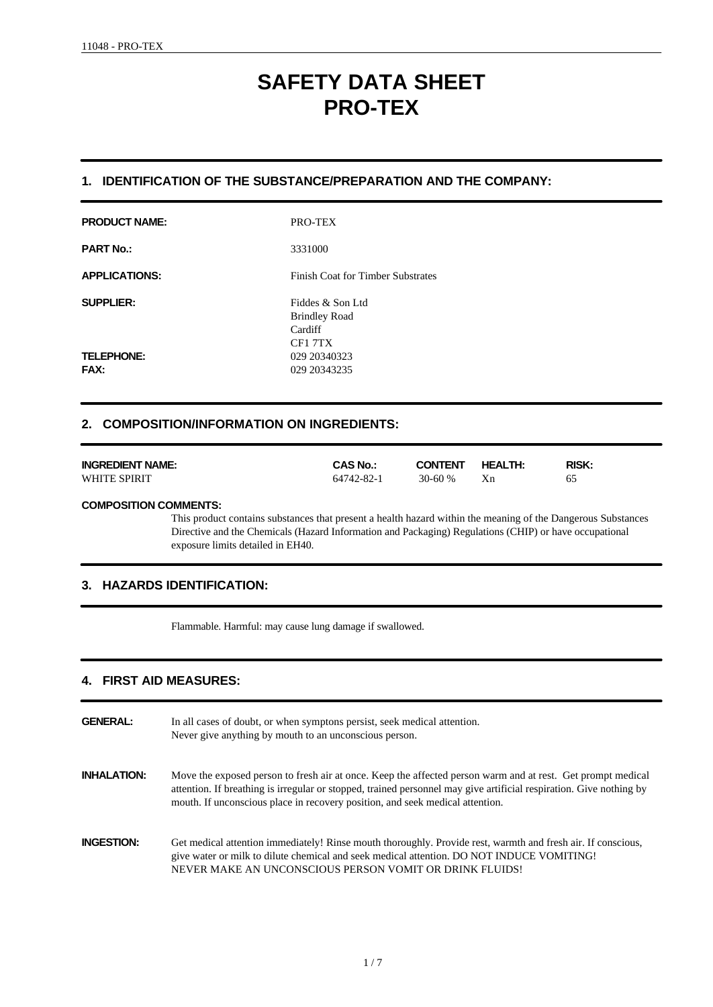# **SAFETY DATA SHEET PRO-TEX**

# **1. IDENTIFICATION OF THE SUBSTANCE/PREPARATION AND THE COMPANY:**

| <b>PRODUCT NAME:</b>             | PRO-TEX                                                       |
|----------------------------------|---------------------------------------------------------------|
| <b>PART No.:</b>                 | 3331000                                                       |
| <b>APPLICATIONS:</b>             | <b>Finish Coat for Timber Substrates</b>                      |
| <b>SUPPLIER:</b>                 | Fiddes & Son Ltd<br><b>Brindley Road</b><br>Cardiff<br>CF17TX |
| <b>TELEPHONE:</b><br><b>FAX:</b> | 029 20340323<br>029 20343235                                  |

# **2. COMPOSITION/INFORMATION ON INGREDIENTS:**

| <b>INGREDIENT NAME:</b> | <b>CAS No.:</b> | <b>CONTENT</b> | <b>HEALTH:</b> | <b>RISK:</b> |
|-------------------------|-----------------|----------------|----------------|--------------|
| WHITE SPIRIT            | 64742-82-1      | $30 - 60%$     |                | 65           |

### **COMPOSITION COMMENTS:**

This product contains substances that present a health hazard within the meaning of the Dangerous Substances Directive and the Chemicals (Hazard Information and Packaging) Regulations (CHIP) or have occupational exposure limits detailed in EH40.

# **3. HAZARDS IDENTIFICATION:**

Flammable. Harmful: may cause lung damage if swallowed.

# **4. FIRST AID MEASURES:**

| <b>GENERAL:</b>    | In all cases of doubt, or when symptons persist, seek medical attention.<br>Never give anything by mouth to an unconscious person.                                                                                                                                                                                  |
|--------------------|---------------------------------------------------------------------------------------------------------------------------------------------------------------------------------------------------------------------------------------------------------------------------------------------------------------------|
| <b>INHALATION:</b> | Move the exposed person to fresh air at once. Keep the affected person warm and at rest. Get prompt medical<br>attention. If breathing is irregular or stopped, trained personnel may give artificial respiration. Give nothing by<br>mouth. If unconscious place in recovery position, and seek medical attention. |
| <b>INGESTION:</b>  | Get medical attention immediately! Rinse mouth thoroughly. Provide rest, warmth and fresh air. If conscious,<br>give water or milk to dilute chemical and seek medical attention. DO NOT INDUCE VOMITING!<br>NEVER MAKE AN UNCONSCIOUS PERSON VOMIT OR DRINK FLUIDS!                                                |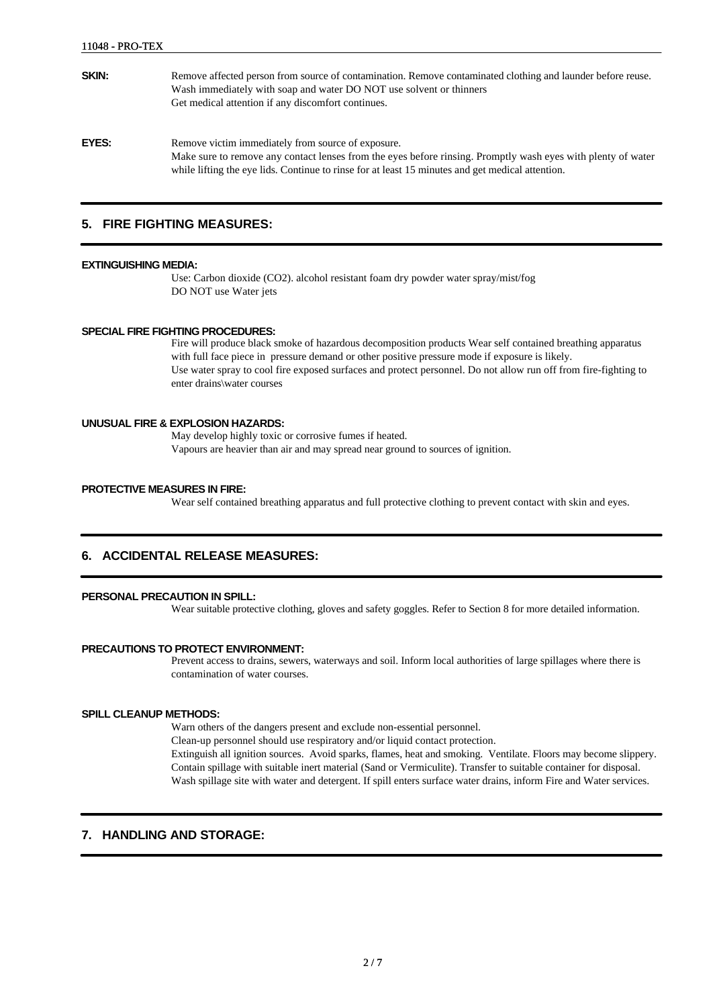| SKIN: | Remove affected person from source of contamination. Remove contaminated clothing and launder before reuse.<br>Wash immediately with soap and water DO NOT use solvent or thinners<br>Get medical attention if any discomfort continues. |
|-------|------------------------------------------------------------------------------------------------------------------------------------------------------------------------------------------------------------------------------------------|
| EYES: | Remove victim immediately from source of exposure.<br>Make sure to remove any contact lenses from the eyes before rinsing. Promptly wash eyes with plenty of water                                                                       |

while lifting the eye lids. Continue to rinse for at least 15 minutes and get medical attention.

### **5. FIRE FIGHTING MEASURES:**

#### **EXTINGUISHING MEDIA:**

Use: Carbon dioxide (CO2). alcohol resistant foam dry powder water spray/mist/fog DO NOT use Water jets

#### **SPECIAL FIRE FIGHTING PROCEDURES:**

Fire will produce black smoke of hazardous decomposition products Wear self contained breathing apparatus with full face piece in pressure demand or other positive pressure mode if exposure is likely. Use water spray to cool fire exposed surfaces and protect personnel. Do not allow run off from fire-fighting to enter drains\water courses

#### **UNUSUAL FIRE & EXPLOSION HAZARDS:**

May develop highly toxic or corrosive fumes if heated. Vapours are heavier than air and may spread near ground to sources of ignition.

#### **PROTECTIVE MEASURES IN FIRE:**

Wear self contained breathing apparatus and full protective clothing to prevent contact with skin and eyes.

### **6. ACCIDENTAL RELEASE MEASURES:**

#### **PERSONAL PRECAUTION IN SPILL:**

Wear suitable protective clothing, gloves and safety goggles. Refer to Section 8 for more detailed information.

#### **PRECAUTIONS TO PROTECT ENVIRONMENT:**

Prevent access to drains, sewers, waterways and soil. Inform local authorities of large spillages where there is contamination of water courses.

#### **SPILL CLEANUP METHODS:**

Warn others of the dangers present and exclude non-essential personnel.

Clean-up personnel should use respiratory and/or liquid contact protection.

Extinguish all ignition sources. Avoid sparks, flames, heat and smoking. Ventilate. Floors may become slippery. Contain spillage with suitable inert material (Sand or Vermiculite). Transfer to suitable container for disposal. Wash spillage site with water and detergent. If spill enters surface water drains, inform Fire and Water services.

### **7. HANDLING AND STORAGE:**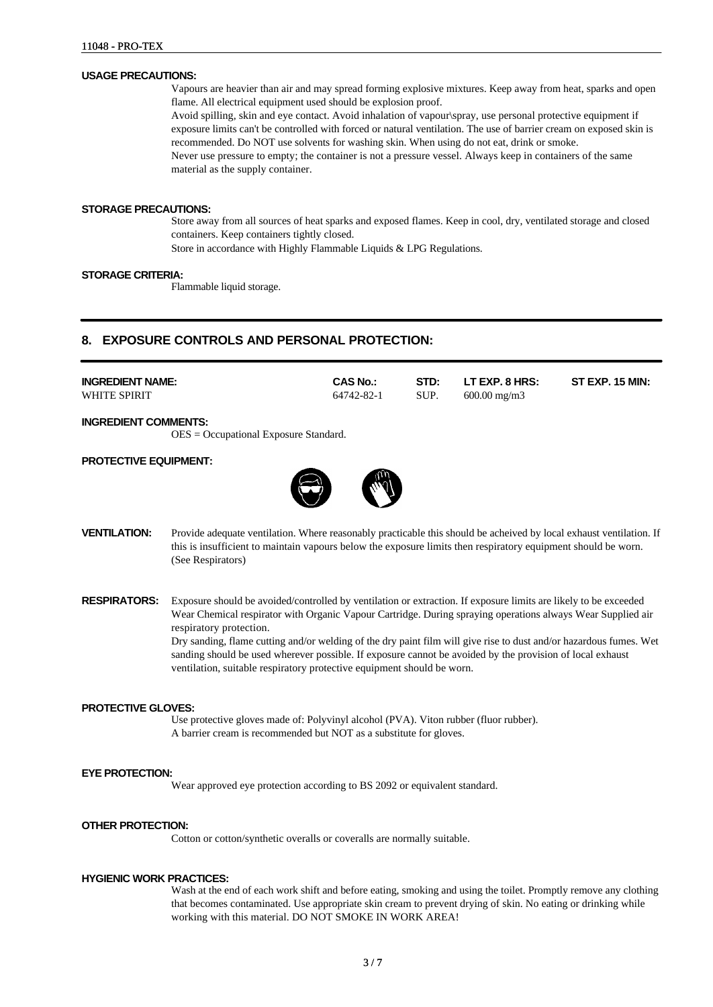#### **USAGE PRECAUTIONS:**

Vapours are heavier than air and may spread forming explosive mixtures. Keep away from heat, sparks and open flame. All electrical equipment used should be explosion proof.

Avoid spilling, skin and eye contact. Avoid inhalation of vapour\spray, use personal protective equipment if exposure limits can't be controlled with forced or natural ventilation. The use of barrier cream on exposed skin is recommended. Do NOT use solvents for washing skin. When using do not eat, drink or smoke. Never use pressure to empty; the container is not a pressure vessel. Always keep in containers of the same material as the supply container.

#### **STORAGE PRECAUTIONS:**

Store away from all sources of heat sparks and exposed flames. Keep in cool, dry, ventilated storage and closed containers. Keep containers tightly closed.

Store in accordance with Highly Flammable Liquids & LPG Regulations.

#### **STORAGE CRITERIA:**

Flammable liquid storage.

# **8. EXPOSURE CONTROLS AND PERSONAL PROTECTION:**

| <b>INGREDIENT NAME:</b> | <b>CAS No.:</b> | STD: | LT EXP. 8 HRS:          | <b>ST EXP. 15 MIN:</b> |
|-------------------------|-----------------|------|-------------------------|------------------------|
| WHITE SPIRIT            | 64742-82-1      | SUP. | $600.00 \text{ mg/m}$ 3 |                        |

**INGREDIENT COMMENTS:**

OES = Occupational Exposure Standard.

#### **PROTECTIVE EQUIPMENT:**



- **VENTILATION:** Provide adequate ventilation. Where reasonably practicable this should be acheived by local exhaust ventilation. If this is insufficient to maintain vapours below the exposure limits then respiratory equipment should be worn. (See Respirators)
- **RESPIRATORS:** Exposure should be avoided/controlled by ventilation or extraction. If exposure limits are likely to be exceeded Wear Chemical respirator with Organic Vapour Cartridge. During spraying operations always Wear Supplied air respiratory protection. Dry sanding, flame cutting and/or welding of the dry paint film will give rise to dust and/or hazardous fumes. Wet

sanding should be used wherever possible. If exposure cannot be avoided by the provision of local exhaust ventilation, suitable respiratory protective equipment should be worn.

#### **PROTECTIVE GLOVES:**

Use protective gloves made of: Polyvinyl alcohol (PVA). Viton rubber (fluor rubber). A barrier cream is recommended but NOT as a substitute for gloves.

#### **EYE PROTECTION:**

Wear approved eye protection according to BS 2092 or equivalent standard.

#### **OTHER PROTECTION:**

Cotton or cotton/synthetic overalls or coveralls are normally suitable.

#### **HYGIENIC WORK PRACTICES:**

Wash at the end of each work shift and before eating, smoking and using the toilet. Promptly remove any clothing that becomes contaminated. Use appropriate skin cream to prevent drying of skin. No eating or drinking while working with this material. DO NOT SMOKE IN WORK AREA!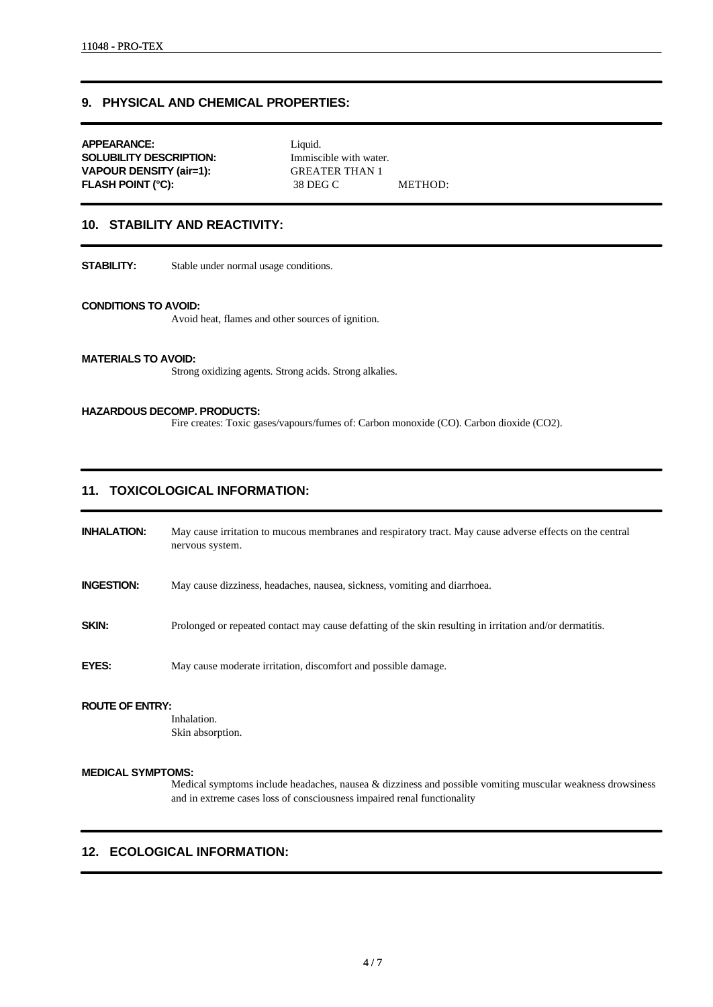# **9. PHYSICAL AND CHEMICAL PROPERTIES:**

**APPEARANCE:** Liquid. **SOLUBILITY DESCRIPTION:** Immiscible with water. **VAPOUR DENSITY (air=1):** GREATER THAN 1 **FLASH POINT (°C):** 38 DEG C METHOD:

### **10. STABILITY AND REACTIVITY:**

**STABILITY:** Stable under normal usage conditions.

#### **CONDITIONS TO AVOID:**

Avoid heat, flames and other sources of ignition.

#### **MATERIALS TO AVOID:**

Strong oxidizing agents. Strong acids. Strong alkalies.

#### **HAZARDOUS DECOMP. PRODUCTS:**

Fire creates: Toxic gases/vapours/fumes of: Carbon monoxide (CO). Carbon dioxide (CO2).

# **11. TOXICOLOGICAL INFORMATION:**

**INHALATION:** May cause irritation to mucous membranes and respiratory tract. May cause adverse effects on the central nervous system.

**INGESTION:** May cause dizziness, headaches, nausea, sickness, vomiting and diarrhoea.

**SKIN:** Prolonged or repeated contact may cause defatting of the skin resulting in irritation and/or dermatitis.

**EYES:** May cause moderate irritation, discomfort and possible damage.

#### **ROUTE OF ENTRY:**

Inhalation. Skin absorption.

#### **MEDICAL SYMPTOMS:**

Medical symptoms include headaches, nausea & dizziness and possible vomiting muscular weakness drowsiness and in extreme cases loss of consciousness impaired renal functionality

#### **12. ECOLOGICAL INFORMATION:**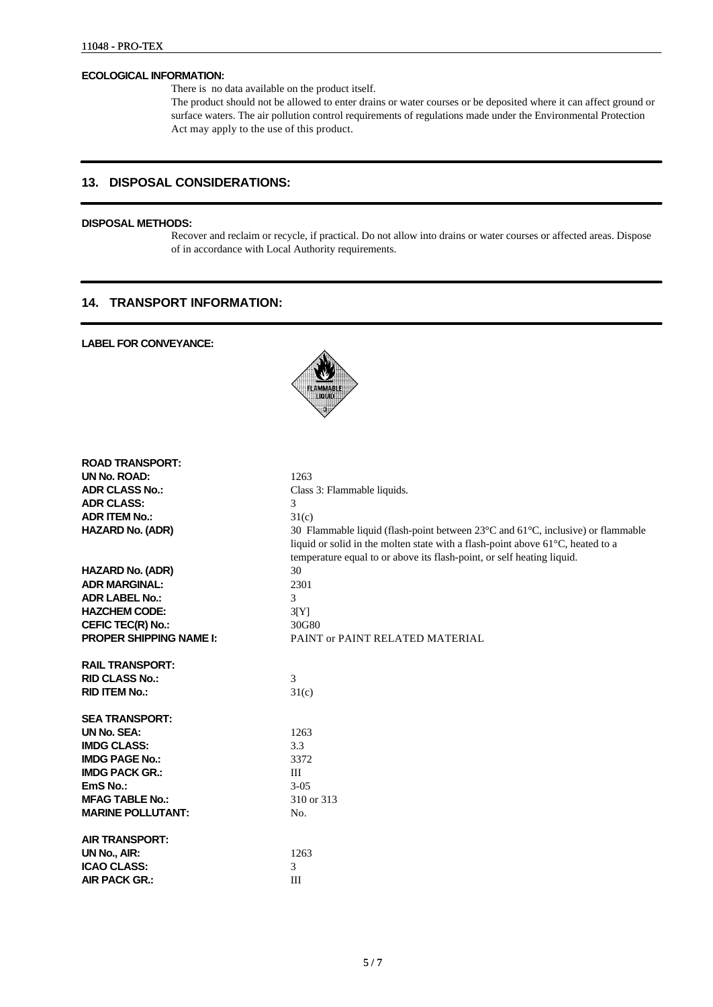#### **ECOLOGICAL INFORMATION:**

There is no data available on the product itself.

The product should not be allowed to enter drains or water courses or be deposited where it can affect ground or surface waters. The air pollution control requirements of regulations made under the Environmental Protection Act may apply to the use of this product.

# **13. DISPOSAL CONSIDERATIONS:**

# **DISPOSAL METHODS:**

Recover and reclaim or recycle, if practical. Do not allow into drains or water courses or affected areas. Dispose of in accordance with Local Authority requirements.

# **14. TRANSPORT INFORMATION:**

### **LABEL FOR CONVEYANCE:**



| <b>ROAD TRANSPORT:</b>         |                                                                                 |
|--------------------------------|---------------------------------------------------------------------------------|
| UN No. ROAD:                   | 1263                                                                            |
| <b>ADR CLASS No.:</b>          | Class 3: Flammable liquids.                                                     |
| <b>ADR CLASS:</b>              | 3                                                                               |
| <b>ADR ITEM No.:</b>           | 31(c)                                                                           |
| <b>HAZARD No. (ADR)</b>        | 30 Flammable liquid (flash-point between 23°C and 61°C, inclusive) or flammable |
|                                | liquid or solid in the molten state with a flash-point above 61°C, heated to a  |
|                                | temperature equal to or above its flash-point, or self heating liquid.          |
| <b>HAZARD No. (ADR)</b>        | 30                                                                              |
| <b>ADR MARGINAL:</b>           | 2301                                                                            |
| <b>ADR LABEL No.:</b>          | 3                                                                               |
| <b>HAZCHEM CODE:</b>           | 3[Y]                                                                            |
| CEFIC TEC(R) No.:              | 30G80                                                                           |
| <b>PROPER SHIPPING NAME I:</b> | PAINT or PAINT RELATED MATERIAL                                                 |
|                                |                                                                                 |
| <b>RAIL TRANSPORT:</b>         |                                                                                 |
| <b>RID CLASS No.:</b>          | 3                                                                               |
| <b>RID ITEM No.:</b>           | 31(c)                                                                           |
|                                |                                                                                 |
| <b>SEA TRANSPORT:</b>          |                                                                                 |
| <b>UN No. SEA:</b>             | 1263                                                                            |
| <b>IMDG CLASS:</b>             | 3.3                                                                             |
| <b>IMDG PAGE No.:</b>          | 3372                                                                            |
| <b>IMDG PACK GR.:</b>          | III                                                                             |
| EmS No.:                       | $3 - 05$                                                                        |
| <b>MFAG TABLE No.:</b>         | 310 or 313                                                                      |
| <b>MARINE POLLUTANT:</b>       | No.                                                                             |
|                                |                                                                                 |
| <b>AIR TRANSPORT:</b>          |                                                                                 |
| UN No., AIR:                   | 1263                                                                            |
| <b>ICAO CLASS:</b>             | 3                                                                               |
| <b>AIR PACK GR.:</b>           | III                                                                             |
|                                |                                                                                 |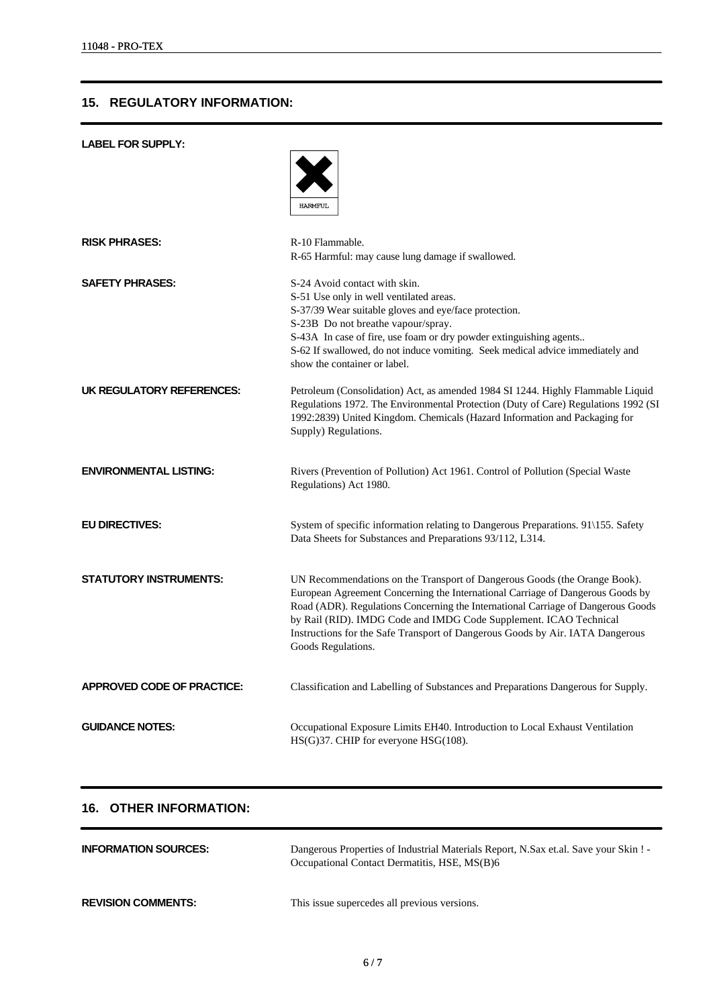# **15. REGULATORY INFORMATION:**

| <b>LABEL FOR SUPPLY:</b>      |                                                                                                                                                                                                                                                                                                                                                                                                                             |
|-------------------------------|-----------------------------------------------------------------------------------------------------------------------------------------------------------------------------------------------------------------------------------------------------------------------------------------------------------------------------------------------------------------------------------------------------------------------------|
|                               | <b>HARMFUL</b>                                                                                                                                                                                                                                                                                                                                                                                                              |
| <b>RISK PHRASES:</b>          | R-10 Flammable.<br>R-65 Harmful: may cause lung damage if swallowed.                                                                                                                                                                                                                                                                                                                                                        |
| <b>SAFETY PHRASES:</b>        | S-24 Avoid contact with skin.<br>S-51 Use only in well ventilated areas.<br>S-37/39 Wear suitable gloves and eye/face protection.<br>S-23B Do not breathe vapour/spray.<br>S-43A In case of fire, use foam or dry powder extinguishing agents<br>S-62 If swallowed, do not induce vomiting. Seek medical advice immediately and<br>show the container or label.                                                             |
| UK REGULATORY REFERENCES:     | Petroleum (Consolidation) Act, as amended 1984 SI 1244. Highly Flammable Liquid<br>Regulations 1972. The Environmental Protection (Duty of Care) Regulations 1992 (SI<br>1992:2839) United Kingdom. Chemicals (Hazard Information and Packaging for<br>Supply) Regulations.                                                                                                                                                 |
| <b>ENVIRONMENTAL LISTING:</b> | Rivers (Prevention of Pollution) Act 1961. Control of Pollution (Special Waste<br>Regulations) Act 1980.                                                                                                                                                                                                                                                                                                                    |
| <b>EU DIRECTIVES:</b>         | System of specific information relating to Dangerous Preparations. 91\155. Safety<br>Data Sheets for Substances and Preparations 93/112, L314.                                                                                                                                                                                                                                                                              |
| <b>STATUTORY INSTRUMENTS:</b> | UN Recommendations on the Transport of Dangerous Goods (the Orange Book).<br>European Agreement Concerning the International Carriage of Dangerous Goods by<br>Road (ADR). Regulations Concerning the International Carriage of Dangerous Goods<br>by Rail (RID). IMDG Code and IMDG Code Supplement. ICAO Technical<br>Instructions for the Safe Transport of Dangerous Goods by Air. IATA Dangerous<br>Goods Regulations. |
| APPROVED CODE OF PRACTICE:    | Classification and Labelling of Substances and Preparations Dangerous for Supply.                                                                                                                                                                                                                                                                                                                                           |
| <b>GUIDANCE NOTES:</b>        | Occupational Exposure Limits EH40. Introduction to Local Exhaust Ventilation<br>HS(G)37. CHIP for everyone HSG(108).                                                                                                                                                                                                                                                                                                        |

# **16. OTHER INFORMATION:**

| <b>INFORMATION SOURCES:</b> | Dangerous Properties of Industrial Materials Report, N.Sax et.al. Save your Skin! -<br>Occupational Contact Dermatitis, HSE, MS(B)6 |
|-----------------------------|-------------------------------------------------------------------------------------------------------------------------------------|
| <b>REVISION COMMENTS:</b>   | This issue supercedes all previous versions.                                                                                        |